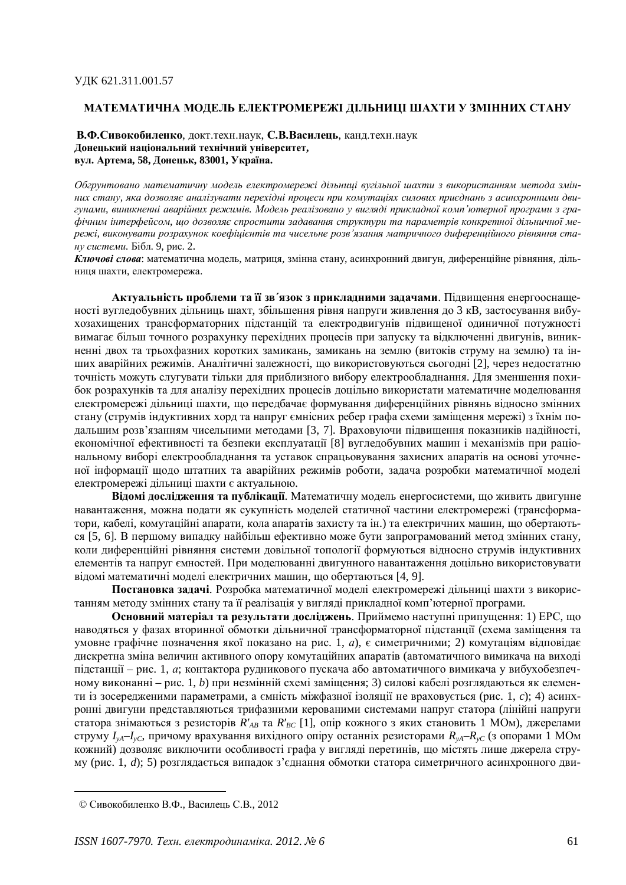## МАТЕМАТИЧНА МОДЕЛЬ ЕЛЕКТРОМЕРЕЖІ ДІЛЬНИЦІ ШАХТИ У ЗМІННИХ СТАНУ

**В.Ф.Сивокобиленко**, локт. техн. наук, С.В.Василень, канд. техн. наук **Ⱦɨɧɟɰɶɤɢɣɧɚɰɿɨɧɚɥɶɧɢɣɬɟɯɧɿɱɧɢɣɭɧɿɜɟɪɫɢɬɟɬ, вул. Артема, 58, Донецьк, 83001, Україна.** 

Обгрунтовано математичну модель електромережі дільниці вугільної шахти з використанням метода змінних стану, яка дозволяє аналізувати перехідні проиеси при комутаціях силових приєднань з асинхронними двигунами, виникненні аварійних режимів. Модель реалізовано у вигляді прикладної комп'ютерної програми з графічним інтерфейсом, що дозволяє спростити задавання структури та параметрів конкретної дільничної мережі, виконувати розрахунок коефіцієнтів та чисельне розв'язання матричного диференційного рівняння ста*ну системи*. Бібл. 9, рис. 2.

Ключові слова: математична модель, матриця, змінна стану, асинхронний двигун, диференційне рівняння, дільниця шахти, електромережа.

Актуальність проблеми та її зв'язок з прикладними задачами. Підвищення енергооснащеності вугледобувних дільниць шахт, збільшення рівня напруги живлення до 3 кВ, застосування вибухозахищених трансформаторних підстанцій та електродвигунів підвищеної одиничної потужності вимагає більш точного розрахунку перехідних процесів при запуску та відключенні двигунів, виникненні двох та трьохфазних коротких замикань, замикань на землю (витоків струму на землю) та інших аварійних режимів. Аналітичні залежності, що використовуються сьогодні [2], через недостатню точність можуть слугувати тільки для приблизного вибору електрообладнання. Для зменшення похибок розрахунків та для аналізу перехідних процесів доцільно використати математичне моделювання електромережі дільниці шахти, що передбачає формування диференційних рівнянь відносно змінних стану (струмів індуктивних хорд та напруг ємнісних ребер графа схеми заміщення мережі) з їхнім подальшим розв'язанням чисельними методами [3, 7]. Враховуючи підвищення показників надійності, економічної ефективності та безпеки експлуатації [8] вугледобувних машин і механізмів при раціональному виборі електрообладнання та уставок спрацьовування захисних апаратів на основі уточненої інформації щодо штатних та аварійних режимів роботи, задача розробки математичної моделі електромережі дільниці шахти є актуальною.

Відомі дослідження та публікації. Математичну модель енергосистеми, що живить двигунне навантаження, можна подати як сукупність моделей статичної частини електромережі (трансформатори, кабелі, комутаційні апарати, кола апаратів захисту та ін.) та електричних машин, що обертаютьcя [5, 6]. В першому випалку найбільш ефективно може бути запрограмований метол змінних стану, коли диференційні рівняння системи довільної топології формуються відносно струмів індуктивних елементів та напруг ємностей. При молелюванні лвигунного навантаження лоцільно використовувати відомі математичні моделі електричних машин, що обертаються [4, 9].

Постановка задачі. Розробка математичної моделі електромережі дільниці шахти з використанням методу змінних стану та її реалізація у вигляді прикладної комп'ютерної програми.

**Основний матеріал та результати досліджень**. Приймемо наступні припущення: 1) ЕРС. шо наводяться у фазах вторинної обмотки дільничної трансформаторної підстанції (схема заміщення та vмовне графічне позначення якої показано на рис. 1, *a*), є симетричними: 2) комутаціям відповідає дискретна зміна величин активного опору комутаційних апаратів (автоматичного вимикача на виході підстанції – рис. 1, *а*; контактора рудникового пускача або автоматичного вимикача у вибухобезпечному виконанні – рис. 1, *b*) при незмінній схемі заміщення; 3) силові кабелі розглядаються як елементи із зосередженими параметрами, а ємність міжфазної ізоляції не враховується (рис. 1, *c*); 4) асинхронні двигуни представляються трифазними керованими системами напруг статора (лінійні напруги статора знімаються з резисторів  $\bar{R}'_{AB}$  та  $R'_{BC}$  [1], опір кожного з яких становить 1 МОм), джерелами струму  $I_{vA} - I_{vC}$ , причому врахування вихідного опіру останніх резисторами  $R_{vA} - R_{vC}$  (з опорами 1 МОм кожний) дозволяє виключити особливості графа у вигляді перетинів, що містять лише джерела струму (рис. 1, *d*); 5) розглядається випадок з'єднання обмотки статора симетричного асинхронного дви-

<sup>©</sup> Сивокобиленко В.Ф., Василець С.В., 2012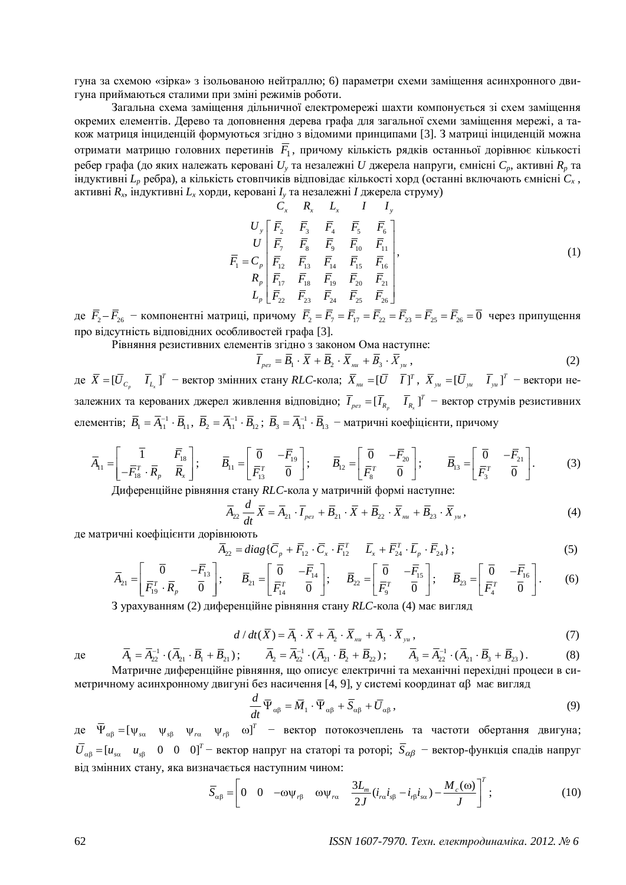гуна за схемою «зірка» з ізольованою нейтраллю; 6) параметри схеми заміщення асинхронного двигуна приймаються сталими при зміні режимів роботи.

Загальна схема заміщення дільничної електромережі шахти компонується зі схем заміщення окремих елементів. Дерево та доповнення дерева графа для загальної схеми заміщення мережі, а також матриця інциденцій формуються згідно з відомими принципами [3]. З матриці інциденцій можна отримати матрицю головних перетинів  $F_1$ , причому кількість рядків останньої дорівнює кількості ребер графа (до яких належать керовані  $U_y$ та незалежні  $U$  джерела напруги, ємнісні  $C_p$ , активні  $R_p$  та індуктивні L<sub>*p*</sub> ребра), а кількість стовпчиків відповідає кількості хорд (останні включають ємнісні C<sub>*x*</sub>, активні  $R_x$ , індуктивні  $L_x$ хорди, керовані  $I_y$ та незалежні  $I$  джерела струму)

23456 7 8 9 10 11 1 12 13 14 15 16 17 18 19 20 21 22 23 24 25 26 *xxx y y p p p CRL II U FFFFF U F FFF F F C FFFFF R FFFFF L FFFFF* ª º « » ¬ ¼ , (1)

де  $\bar{F}_2 - \bar{F}_{26}$  – компонентні матриці, причому  $\bar{F}_2 = \bar{F}_7 = \bar{F}_{17} = \bar{F}_{22} = \bar{F}_{25} = \bar{F}_{25} = \bar{F}_{26} = 0$  через припущення про відсутність відповідних особливостей графа [3].

Рівняння резистивних елементів згідно з законом Ома наступне:

$$
\overline{I}_{\rho e} = \overline{B}_1 \cdot \overline{X} + \overline{B}_2 \cdot \overline{X}_{\mu\nu} + \overline{B}_3 \cdot \overline{X}_{\nu\nu}, \qquad (2)
$$

 $\bar{X} = [\bar{U}_{C_p} \quad \bar{I}_{L_x}]$  $\bar{X} = [\bar{U}_{C_n} \quad \bar{I}_{L_n}]^T$  – вектор змінних стану *RLC*-кола;  $\bar{X}_{uu} = [\bar{U} \quad \bar{I}]^T$ ,  $\bar{X}_{yu} = [\bar{U}_{yu} \quad \bar{I}_{yu}]^T$  – вектори незалежних та керованих джерел живлення відповідно;  $I_{\textit{pes}} = [I_{\textit{R}_{\textit{p}}}-I_{\textit{R}_{\textit{x}}}]$  $\overline{I}_{p_{e3}} = [\overline{I}_{R_n} \quad \overline{I}_{R_n}]^T$  – вектор струмів резистивних елементів;  $\bar{B}_1 = \bar{A}_{11}^{-1} \cdot \bar{B}_{11}$ ,  $\bar{B}_2 = \bar{A}_{11}^{-1} \cdot \bar{B}_{12}$ ;  $\bar{B}_3 = \bar{A}_{11}^{-1} \cdot \bar{B}_{13}$  – матричні коефіцієнти, причому

$$
\overline{A}_{11} = \begin{bmatrix} \overline{1} & \overline{F}_{18} \\ -\overline{F}_{18}^T \cdot \overline{R}_p & \overline{R}_x \end{bmatrix}; \qquad \overline{B}_{11} = \begin{bmatrix} \overline{0} & -\overline{F}_{19} \\ \overline{F}_{13}^T & \overline{0} \end{bmatrix}; \qquad \overline{B}_{12} = \begin{bmatrix} \overline{0} & -\overline{F}_{20} \\ \overline{F}_{8}^T & \overline{0} \end{bmatrix}; \qquad \overline{B}_{13} = \begin{bmatrix} \overline{0} & -\overline{F}_{21} \\ \overline{F}_{3}^T & \overline{0} \end{bmatrix}.
$$
\n(3)

Диференційне рівняння стану RLC-кола у матричній формі наступне:

$$
\overline{A}_{22} \frac{d}{dt} \overline{X} = \overline{A}_{21} \cdot \overline{I}_{\rho e_3} + \overline{B}_{21} \cdot \overline{X} + \overline{B}_{22} \cdot \overline{X}_{uu} + \overline{B}_{23} \cdot \overline{X}_{yu}, \qquad (4)
$$

де матричні коефіцієнти дорівнюють

$$
\overline{A}_{22} = diag\{\overline{C}_p + \overline{F}_{12} \cdot \overline{C}_x \cdot \overline{F}_{12}^T \quad \overline{L}_x + \overline{F}_{24}^T \cdot \overline{L}_p \cdot \overline{F}_{24}\};
$$
\n(5)

$$
\overline{A}_{21} = \begin{bmatrix} \overline{0} & -\overline{F}_{13} \\ \overline{F}_{19}^T \cdot \overline{R}_p & \overline{0} \end{bmatrix}; \qquad \overline{B}_{21} = \begin{bmatrix} \overline{0} & -\overline{F}_{14} \\ \overline{F}_{14}^T & \overline{0} \end{bmatrix}; \qquad \overline{B}_{22} = \begin{bmatrix} \overline{0} & -\overline{F}_{15} \\ \overline{F}_{9}^T & \overline{0} \end{bmatrix}; \qquad \overline{B}_{23} = \begin{bmatrix} \overline{0} & -\overline{F}_{16} \\ \overline{F}_{4}^T & \overline{0} \end{bmatrix}.
$$
\n
$$
(6)
$$

З урахуванням (2) диференційне рівняння стану RLC-кола (4) має вигляд

$$
d/dt(\overline{X}) = \overline{A}_1 \cdot \overline{X} + \overline{A}_2 \cdot \overline{X}_{uu} + \overline{A}_3 \cdot \overline{X}_{yu},
$$
\n(7)

$$
\overline{A}_1 = \overline{A}_{22}^{-1} \cdot (\overline{A}_{21} \cdot \overline{B}_1 + \overline{B}_{21}); \qquad \overline{A}_2 = \overline{A}_{22}^{-1} \cdot (\overline{A}_{21} \cdot \overline{B}_2 + \overline{B}_{22}); \qquad \overline{A}_3 = \overline{A}_{22}^{-1} \cdot (\overline{A}_{21} \cdot \overline{B}_3 + \overline{B}_{23}).
$$
\n(8)

\nМатричне диференційне рівняння, що описує електричні та механічні перехідні процеси в си-метричному асинхронному двигуні без насичення [4, 9], у системі координат αβ має вигляд

$$
\frac{d}{dt}\overline{\Psi}_{\alpha\beta} = \overline{M}_1 \cdot \overline{\Psi}_{\alpha\beta} + \overline{S}_{\alpha\beta} + \overline{U}_{\alpha\beta},
$$
\n(9)

де  $\bar{\Psi}_{\alpha\beta} = [\psi_{s\alpha} \quad \psi_{s\beta} \quad \psi_{r\alpha} \quad \psi_{r\beta} \quad \omega]^T$  – вектор потокозчеплень та частоти обертання двигуна;  $\overline{U}_{\alpha\beta}$  = [ $u_{s\alpha}$  *u<sub>s</sub>* 0 0 0]<sup>T</sup> – вектор напруг на статорі та роторі;  $\overline{S}_{\alpha\beta}$  – вектор-функція спадів напруг від змінних стану, яка визначається наступним чином:

$$
\overline{S}_{\alpha\beta} = \left[ 0 \quad 0 \quad -\omega \psi_{r\beta} \quad \omega \psi_{r\alpha} \quad \frac{3L_m}{2J} (i_{r\alpha} i_{s\beta} - i_{r\beta} i_{s\alpha}) - \frac{M_c(\omega)}{J} \right]^T ; \tag{10}
$$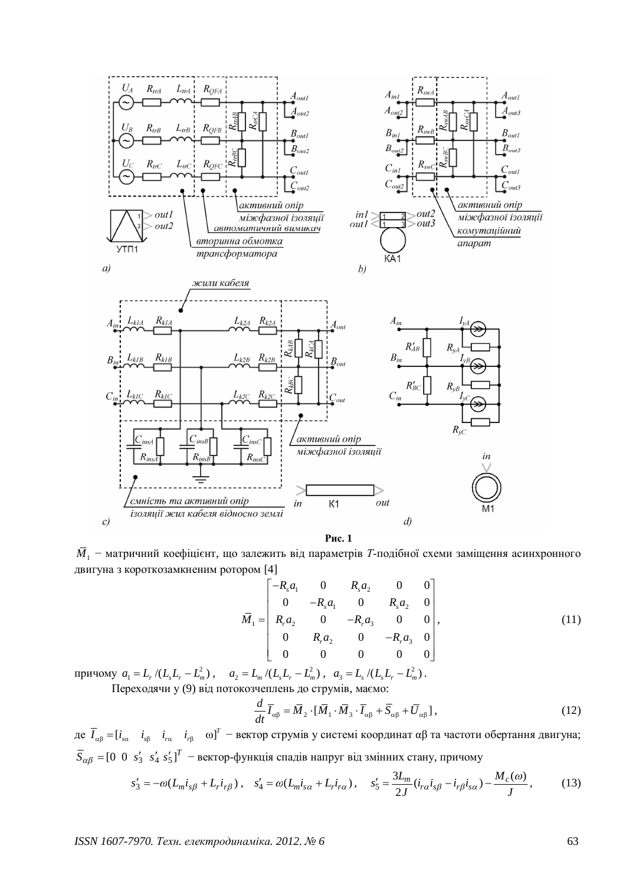

**Рис.** 1

 $\bar{M}_{_1}$  – матричний коефіцієнт, що залежить від параметрів *Т*-подібної схеми заміщення асинхронного двигуна з короткозамкненим ротором [4]

$$
\overline{M}_1 = \begin{bmatrix}\n-R_s a_1 & 0 & R_s a_2 & 0 & 0 \\
0 & -R_s a_1 & 0 & R_s a_2 & 0 \\
R_r a_2 & 0 & -R_r a_3 & 0 & 0 \\
0 & R_r a_2 & 0 & -R_r a_3 & 0 \\
0 & 0 & 0 & 0 & 0\n\end{bmatrix},
$$
\n(11)

 $\pi$ <sup>*n*</sup>  $a_1 = L_r / (L_s L_r - L_m^2)$ ,  $a_2 = L_m / (L_s L_r - L_m^2)$ ,  $a_3 = L_s / (L_s L_r - L_m^2)$ .

Переходячи у (9) від потокозчеплень до струмів, маємо:

$$
\frac{d}{dt}\overline{I}_{\alpha\beta} = \overline{M}_2 \cdot [\overline{M}_1 \cdot \overline{M}_3 \cdot \overline{I}_{\alpha\beta} + \overline{S}_{\alpha\beta} + \overline{U}_{\alpha\beta}],
$$
\n(12)

де  $\overline{I}_{\alpha\beta}=[i_{\alpha\alpha} \quad i_{\beta\beta} \quad i_{r\alpha} \quad i_{r\beta} \quad \omega]^T$  – вектор струмів у системі координат αβ та частоти обертання двигуна;  $\bar{S}_{\alpha\beta}$  = [0 0  $s'_{3}$   $s'_{4}$   $s'_{5}$ ]<sup>T</sup> – вектор-функція спадів напруг від змінних стану, причому

$$
s_3' = -\omega (L_m i_{s\beta} + L_r i_{r\beta}), \quad s_4' = \omega (L_m i_{s\alpha} + L_r i_{r\alpha}), \quad s_5' = \frac{3L_m}{2J} (i_{r\alpha} i_{s\beta} - i_{r\beta} i_{s\alpha}) - \frac{M_c(\omega)}{J}, \tag{13}
$$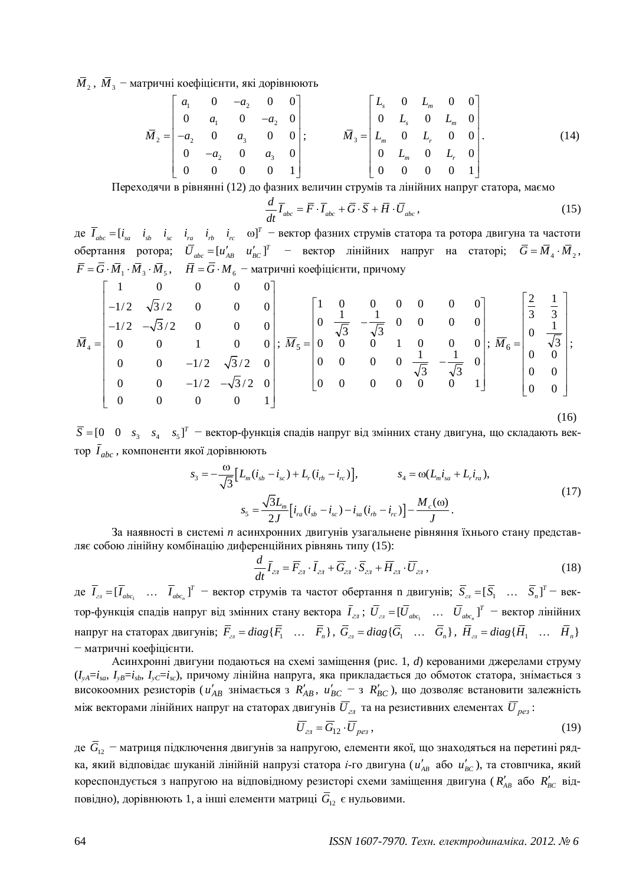$\overline{M}_{\,2}$ ,  $\overline{M}_{\,3}$  – матричні коефіцієнти, які дорівнюють

$$
\overline{M}_2 = \begin{bmatrix} a_1 & 0 & -a_2 & 0 & 0 \\ 0 & a_1 & 0 & -a_2 & 0 \\ -a_2 & 0 & a_3 & 0 & 0 \\ 0 & -a_2 & 0 & a_3 & 0 \\ 0 & 0 & 0 & 0 & 1 \end{bmatrix}; \qquad \overline{M}_3 = \begin{bmatrix} L_s & 0 & L_m & 0 & 0 \\ 0 & L_s & 0 & L_m & 0 \\ L_m & 0 & L_r & 0 & 0 \\ 0 & L_m & 0 & L_r & 0 \\ 0 & 0 & 0 & 0 & 1 \end{bmatrix}.
$$
 (14)

Переходячи в рівнянні (12) до фазних величин струмів та лінійних напруг статора, маємо

$$
\frac{d}{dt}\overline{I}_{abc} = \overline{F} \cdot \overline{I}_{abc} + \overline{G} \cdot \overline{S} + \overline{H} \cdot \overline{U}_{abc},
$$
\n(15)

де  $\overline{I}_{abc} = [i_{sa} \ i_{sb} \ i_{sc} \ i_{ra} \ i_{rb} \ i_{rc} \ o]^{T}$  – вектор фазних струмів статора та ротора двигуна та частоти обертання ротора;  $\overline{U}_{abc} = [u'_{AB} \quad u'_{BC}]^T$  – вектор лінійних напруг на статорі;  $\overline{G} = \overline{M}_4 \cdot \overline{M}_2$ ,  $\overline{F} = G \cdot \overline{M}_1 \cdot \overline{M}_3 \cdot \overline{M}_5$ ,  $\overline{H} = G \cdot M_6$  – матричні коефіцієнти, причому

$$
\bar{M}_4 = \begin{bmatrix}\n1 & 0 & 0 & 0 & 0 \\
-1/2 & \sqrt{3}/2 & 0 & 0 & 0 \\
-1/2 & -\sqrt{3}/2 & 0 & 0 & 0 \\
0 & 0 & 1 & 0 & 0 \\
0 & 0 & -1/2 & \sqrt{3}/2 & 0 \\
0 & 0 & 0 & 0 & 1\n\end{bmatrix}; \ \bar{M}_5 = \begin{bmatrix}\n1 & 0 & 0 & 0 & 0 & 0 \\
0 & \frac{1}{\sqrt{3}} & -\frac{1}{\sqrt{3}} & 0 & 0 & 0 \\
0 & 0 & 0 & 1 & 0 & 0 \\
0 & 0 & 0 & 0 & \frac{1}{\sqrt{3}} & -\frac{1}{\sqrt{3}} & 0 \\
0 & 0 & 0 & 0 & 0 & 0\n\end{bmatrix}; \ \bar{M}_6 = \begin{bmatrix}\n\frac{2}{3} & \frac{1}{3} \\
0 & \frac{1}{\sqrt{3}} \\
0 & 0 \\
0 & 0 \\
0 & 0\n\end{bmatrix};
$$
\n
$$
\bar{M}_7 = \begin{bmatrix}\n1 & 0 & 0 & 0 & 0 & 0 \\
0 & \frac{1}{\sqrt{3}} & -\frac{1}{\sqrt{3}} & 0 & 0 \\
0 & 0 & 0 & 0 & 0 & 0 \\
0 & 0 & 0 & 0 & 0 & 1\n\end{bmatrix}; \ \bar{M}_6 = \begin{bmatrix}\n\frac{2}{3} & \frac{1}{3} \\
0 & \frac{1}{\sqrt{3}} \\
0 & 0 \\
0 & 0 \\
0 & 0\n\end{bmatrix};
$$
\n(16)

 $\overline{S} = [0 \ 0 \ s_3 \ s_4 \ s_5]^T$  — вектор-функція спадів напруг від змінних стану двигуна, що складають вектор  $\bar{I}_{abc}$ , компоненти якої дорівнюють

$$
s_3 = -\frac{\omega}{\sqrt{3}} \Big[ L_m (i_{sb} - i_{sc}) + L_r (i_{rb} - i_{rc}) \Big], \qquad s_4 = \omega (L_m i_{sa} + L_r i_{ra}),
$$
  

$$
s_5 = \frac{\sqrt{3}L_m}{2J} [i_{ra} (i_{sb} - i_{sc}) - i_{sa} (i_{rb} - i_{rc})] - \frac{M_c(\omega)}{J}.
$$
 (17)

За наявності в системі *п* асинхронних двигунів узагальнене рівняння їхнього стану представляє собою лінійну комбінацію диференційних рівнянь типу (15):

$$
\frac{d}{dt}\overline{I}_{2n} = \overline{F}_{2n} \cdot \overline{I}_{2n} + \overline{G}_{2n} \cdot \overline{S}_{2n} + \overline{H}_{2n} \cdot \overline{U}_{2n},
$$
\n(18)

 $\text{Re} \quad I_{2n} = [I_{abc_1} \quad \dots \quad I_{abc_n}]$  $\overline{I}_{z} = [\overline{I}_{abc_1} \quad \dots \quad \overline{I}_{abc_n}]^T$  – вектор струмів та частот обертання n двигунів;  $\overline{S}_{z_i} = [\overline{S}_1 \quad \dots \quad \overline{S}_n]^T$ – вектор-функція спадів напруг від змінних стану вектора  $\bar{I}_{z\pi}\,;\,\bar{U}_{z\pi}=[\bar{U}_{abc_1}\quad...\quad \bar{U}_{abc_n}]^T$  — вектор лінійних напруг на статорах двигунів;  $\overline{F}_{a} = diag\{\overline{F}_{1} \quad \dots \quad \overline{F}_{n}\}, \overline{G}_{a} = diag\{\overline{G}_{1} \quad \dots \quad \overline{G}_{n}\}, \overline{H}_{a} = diag\{\overline{H}_{1} \quad \dots \quad \overline{H}_{n}\}\$ - матричні коефіцієнти.

<u>Асинхронні лвигуни полаються на схемі замішення (рис. 1, *d*) керованими лжерелами струму</u>  $(I_{vA}=i_{sa}, I_{vB}=i_{sb}, I_{vC}=i_{sc})$ , причому лінійна напруга, яка прикладається до обмоток статора, знімається з високоомних резисторів ( $u'_{AB}$  знімається з  $R'_{AB}$ ,  $u'_{BC}$  – з  $R'_{BC}$ ), що дозволяє встановити залежність між векторами лінійних напруг на статорах двигунів  $\overline{U}_{z_l}$  та на резистивних елементах  $\overline{U}_{p e_i}$ :

$$
\overline{U}_{2n} = \overline{G}_{12} \cdot \overline{U}_{pe3} \,, \tag{19}
$$

де  $\bar{G}_{12}$  – матриця підключення двигунів за напругою, елементи якої, що знаходяться на перетині рядка, який відповідає шуканій лінійній напрузі статора *і*-го двигуна ( $u'_{AB}$  або  $u'_{BC}$ ), та стовпчика, який кореспондується з напругою на відповідному резисторі схеми заміщення двигуна ( $R'_{AB}$  або  $R'_{BC}$  відповідно), дорівнюють 1, а інші елементи матриці  $\bar{G}_{12}$  є нульовими.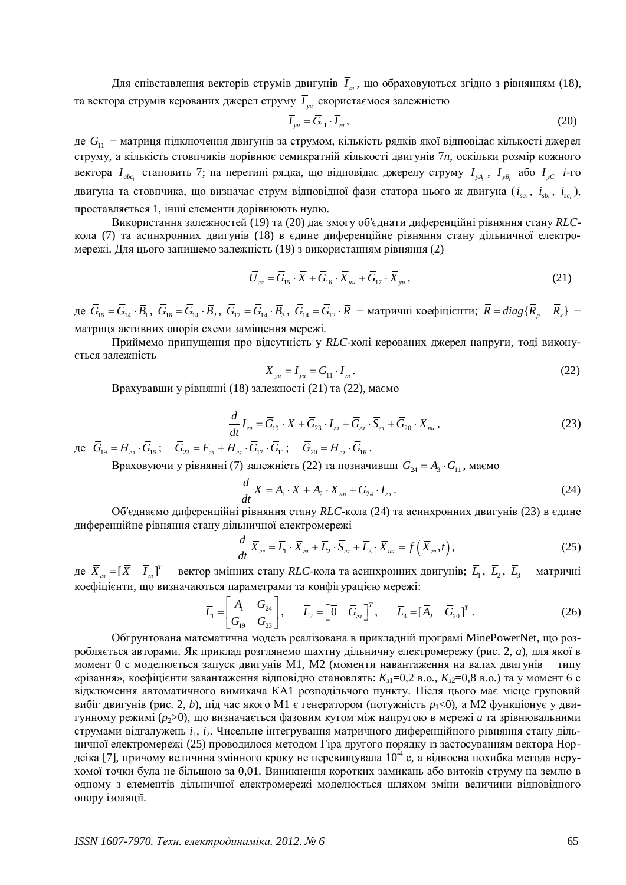Для співставлення векторів струмів двигунів  $\overline{I}_{z\bar{i}}$ , що обраховуються згідно з рівнянням (18), та вектора струмів керованих джерел струму  $I_{\mathrm{yu}}$  скористаємося залежністю

$$
\overline{I}_{yu} = \overline{G}_{11} \cdot \overline{I}_{z\bar{z}} \,, \tag{20}
$$

де  $\bar{G}_{11}$  – матриця підключення двигунів за струмом, кількість рядків якої відповідає кількості джерел струму, а кількість стовпчиків дорівнює семикратній кількості двигунів 7n, оскільки розмір кожного вектора *I<sub>abc<sub>i</sub>*</sub> становить 7; на перетині рядка, що відповідає джерелу струму *I<sub>yA<sub>i</sub></sub>, I<sub>yB<sub>i</sub></sub> або I<sub>yCi</sub> i-го* двигуна та стовпчика, що визначає струм відповідної фази статора цього ж двигуна ( $i_{_{sa_i}}$ ,  $i_{_{sb_i}}$ ,  $i_{_{sc_i}}$ ), проставляється 1, інші елементи дорівнюють нулю.

Використання залежностей (19) та (20) дає змогу об'єднати диференційні рівняння стану RLCкола (7) та асинхронних двигунів (18) в єдине диференційне рівняння стану дільничної електромережі. Для цього запишемо залежність (19) з використанням рівняння (2)

$$
\overline{U}_{_{2n}} = \overline{G}_{15} \cdot \overline{X} + \overline{G}_{16} \cdot \overline{X}_{_{nu}} + \overline{G}_{17} \cdot \overline{X}_{_{yu}} ,
$$
\n(21)

де  $\overline{G}_{15} = \overline{G}_{14} \cdot \overline{B}_1$ ,  $\overline{G}_{16} = \overline{G}_{14} \cdot \overline{B}_2$ ,  $\overline{G}_{17} = \overline{G}_{14} \cdot \overline{B}_3$ ,  $\overline{G}_{14} = \overline{G}_{12} \cdot \overline{R}$  – матричні коефіцієнти;  $\overline{R} = diag\{\overline{R}_p \mid \overline{R}_x\}$  – матриця активних опорів схеми заміщення мережі.

Приймемо припущення про відсутність у RLC-колі керованих джерел напруги, тоді виконуеться залежність

$$
\overline{X}_{yu} = \overline{I}_{yu} = \overline{G}_{11} \cdot \overline{I}_{2n} \,. \tag{22}
$$

Врахувавши у рівнянні (18) залежності (21) та (22), маємо

$$
\frac{d}{dt}\overline{I}_{z\alpha} = \overline{G}_{19} \cdot \overline{X} + \overline{G}_{23} \cdot \overline{I}_{z\alpha} + \overline{G}_{z\alpha} \cdot \overline{S}_{z\alpha} + \overline{G}_{20} \cdot \overline{X}_{n\alpha},\tag{23}
$$

 $\mu_{19} = \overline{H}_{a1} \cdot G_{15}; \quad G_{23} = \overline{F}_{a1} + \overline{H}_{a1} \cdot G_{17} \cdot G_{11}; \quad G_{20} = \overline{H}_{a1} \cdot G_{16}.$ 

Враховуючи у рівнянні (7) залежність (22) та позначивши  $\bar{G}_{24} = \bar{A}_3 \cdot \bar{G}_{11}$ , маємо

$$
\frac{d}{dt}\overline{X} = \overline{A}_1 \cdot \overline{X} + \overline{A}_2 \cdot \overline{X}_{uu} + \overline{G}_{24} \cdot \overline{I}_{24}.
$$
\n(24)

Об'єднаємо диференційні рівняння стану RLC-кола (24) та асинхронних двигунів (23) в єдине диференційне рівняння стану дільничної електромережі

$$
\frac{d}{dt}\overline{X}_{2t} = \overline{L}_1 \cdot \overline{X}_{2t} + \overline{L}_2 \cdot \overline{S}_{2t} + \overline{L}_3 \cdot \overline{X}_{nu} = f\left(\overline{X}_{2t}, t\right),\tag{25}
$$

де  $\bar{X}_{_{23}}=[\bar{X}$   $\bar{I}_{_{23}}]^T$  – вектор змінних стану RLC-кола та асинхронних двигунів;  $\bar{L}_1$ ,  $\bar{L}_2$ ,  $\bar{L}_3$  – матричні коефіцієнти, що визначаються параметрами та конфігурацією мережі:

$$
\overline{L}_1 = \begin{bmatrix} \overline{A}_1 & \overline{G}_{24} \\ \overline{G}_{19} & \overline{G}_{23} \end{bmatrix}, \qquad \overline{L}_2 = \begin{bmatrix} \overline{0} & \overline{G}_{21} \end{bmatrix}^T, \qquad \overline{L}_3 = \begin{bmatrix} \overline{A}_2 & \overline{G}_{20} \end{bmatrix}^T.
$$
 (26)

Обгрунтована математична модель реалізована в прикладній програмі MinePowerNet, що розробляється авторами. Як приклад розглянемо шахтну дільничну електромережу (рис. 2, *а*), для якої в момент 0 с моделюється запуск двигунів М1, М2 (моменти навантаження на валах двигунів - типу «різання», коефіцієнти завантаження відповідно становлять:  $K_{3}$ =0,2 в.о.,  $K_{3}$ =0,8 в.о.) та у момент 6 с відключення автоматичного вимикача КА1 розподільчого пункту. Після цього має місце груповий вибіг двигунів (рис. 2, *b*), під час якого М1 є генератором (потужність  $p_1$ <0), а М2 функціонує у двигунному режимі (p<sub>2</sub>>0), що визначається фазовим кутом між напругою в мережі *и* та зрівнювальними струмами відгалужень *i*<sub>1</sub>, *i*<sub>2</sub>. Чисельне інтегрування матричного диференційного рівняння стану дільничної електромережі (25) проводилося методом Гіра другого порядку із застосуванням вектора Нордсіка [7], причому величина змінного кроку не перевищувала  $10^4$  с, а відносна похибка метода нерухомої точки була не більшою за 0,01. Виникнення коротких замикань або витоків струму на землю в одному з елементів дільничної електромережі моделюється шляхом зміни величини відповідного опору ізоляції.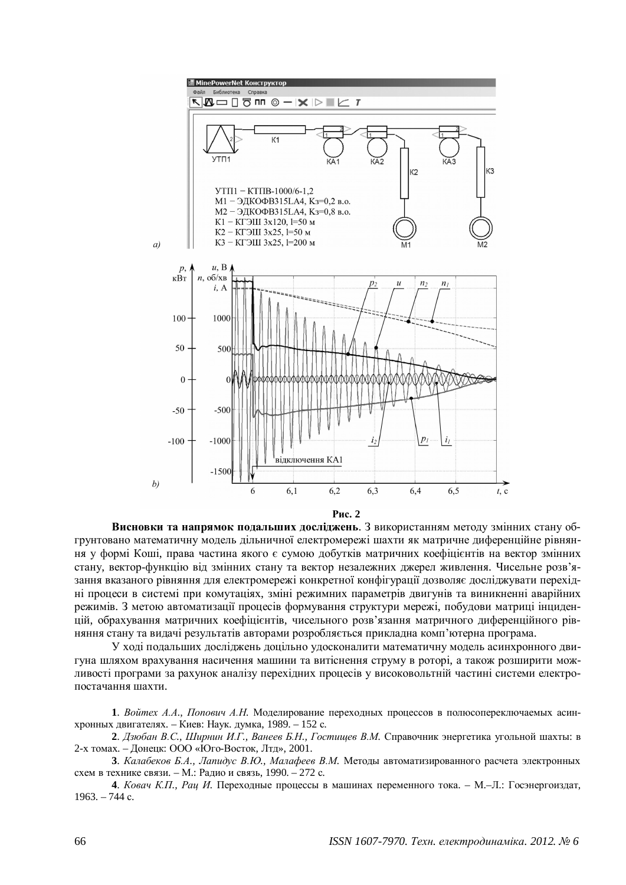

Pис. 2

Висновки та напрямок подальших досліджень. З використанням методу змінних стану обгрунтовано математичну модель дільничної електромережі шахти як матричне диференційне рівняння у формі Коші, права частина якого є сумою добутків матричних коефіцієнтів на вектор змінних стану, вектор-функцію від змінних стану та вектор незалежних джерел живлення. Чисельне розв'язання вказаного рівняння для електромережі конкретної конфігурації дозволяє досліджувати перехідні процеси в системі при комутаціях, зміні режимних параметрів двигунів та виникненні аварійних режимів. З метою автоматизації процесів формування структури мережі, побудови матриці інциденпій, обрахування матричних коефіцієнтів, чисельного розв'язання матричного лиференційного рівняння стану та видачі результатів авторами розробляється прикладна комп'ютерна програма.

У ході подальших досліджень доцільно удосконалити математичну модель асинхронного двигуна шляхом врахування насичення машини та витіснення струму в роторі, а також розширити можливості програми за рахунок аналізу перехідних процесів у високовольтній частині системи електропостачання шахти.

1. Войтех А.А., Попович А.Н. Моделирование переходных процессов в полюсопереключаемых асинхронных двигателях. – Киев: Наук. думка, 1989. – 152 с.

2. *Дзюбан В.С., Ширнин И.Г., Ванеев Б.Н., Гостищев В.М.* Справочник энергетика угольной шахты: в 2-х томах. – Донецк: ООО «Юго-Восток, Лтд», 2001.

3. Калабеков Б.А., Лапидус В.Ю., Малафеев В.М. Методы автоматизированного расчета электронных схем в технике связи. – М.: Радио и связь, 1990. – 272 с.

**4.** *Ковач К.П., Раи И.* Перехолные процессы в машинах переменного тока. – М.–Л.: Госэнергоиздат,  $1963. - 744$  c.